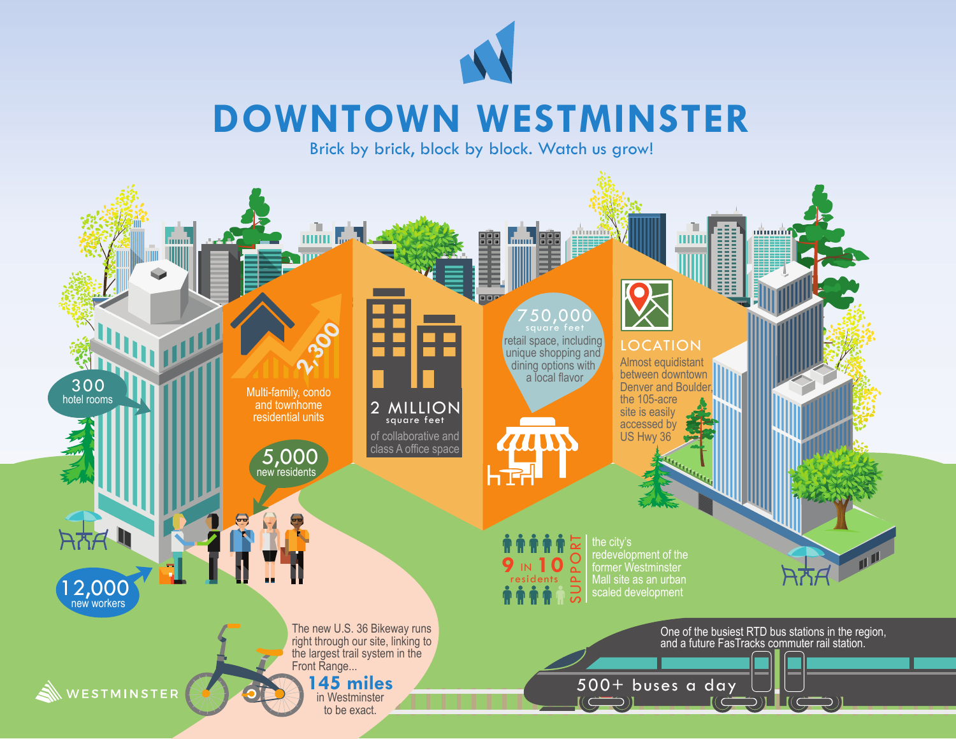

## **DOWNTOWN WESTMINSTER**

Brick by brick, block by block. Watch us grow!